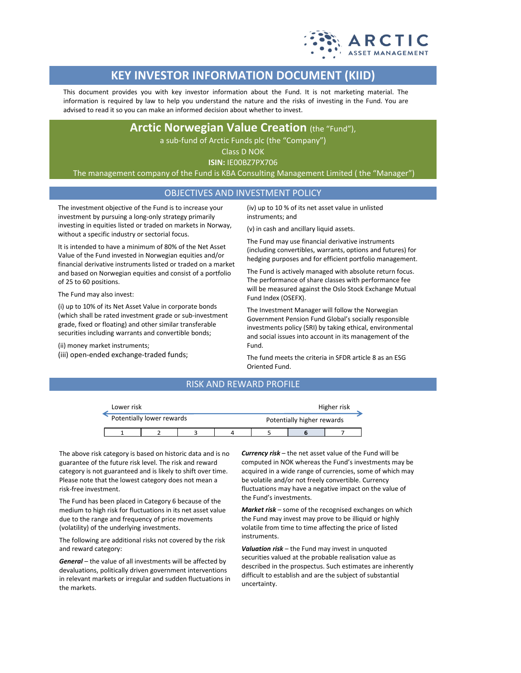

# **KEY INVESTOR INFORMATION DOCUMENT (KIID)**

This document provides you with key investor information about the Fund. It is not marketing material. The information is required by law to help you understand the nature and the risks of investing in the Fund. You are advised to read it so you can make an informed decision about whether to invest.

# **Arctic Norwegian Value Creation** (the "Fund"),

a sub-fund of Arctic Funds plc (the "Company")

Class D NOK

**ISIN:** IE00BZ7PX706

The management company of the Fund is KBA Consulting Management Limited ( the "Manager")

## OBJECTIVES AND INVESTMENT POLICY

The investment objective of the Fund is to increase your investment by pursuing a long-only strategy primarily investing in equities listed or traded on markets in Norway, without a specific industry or sectorial focus.

It is intended to have a minimum of 80% of the Net Asset Value of the Fund invested in Norwegian equities and/or financial derivative instruments listed or traded on a market and based on Norwegian equities and consist of a portfolio of 25 to 60 positions.

The Fund may also invest:

(i) up to 10% of its Net Asset Value in corporate bonds (which shall be rated investment grade or sub-investment grade, fixed or floating) and other similar transferable securities including warrants and convertible bonds;

(ii) money market instruments;

(iii) open-ended exchange-traded funds;

(iv) up to 10 % of its net asset value in unlisted instruments; and

(v) in cash and ancillary liquid assets.

The Fund may use financial derivative instruments (including convertibles, warrants, options and futures) for hedging purposes and for efficient portfolio management.

The Fund is actively managed with absolute return focus. The performance of share classes with performance fee will be measured against the Oslo Stock Exchange Mutual Fund Index (OSEFX).

The Investment Manager will follow the Norwegian Government Pension Fund Global's socially responsible investments policy (SRI) by taking ethical, environmental and social issues into account in its management of the Fund.

The fund meets the criteria in SFDR article 8 as an ESG Oriented Fund.

## RISK AND REWARD PROFILE

|                           | Lower risk |  |  |  |                            | Higher risk |  |  |
|---------------------------|------------|--|--|--|----------------------------|-------------|--|--|
| Potentially lower rewards |            |  |  |  | Potentially higher rewards |             |  |  |
|                           |            |  |  |  |                            |             |  |  |

The above risk category is based on historic data and is no guarantee of the future risk level. The risk and reward category is not guaranteed and is likely to shift over time. Please note that the lowest category does not mean a risk-free investment.

The Fund has been placed in Category 6 because of the medium to high risk for fluctuations in its net asset value due to the range and frequency of price movements (volatility) of the underlying investments.

The following are additional risks not covered by the risk and reward category:

*General* – the value of all investments will be affected by devaluations, politically driven government interventions in relevant markets or irregular and sudden fluctuations in the markets.

*Currency risk* – the net asset value of the Fund will be computed in NOK whereas the Fund's investments may be acquired in a wide range of currencies, some of which may be volatile and/or not freely convertible. Currency fluctuations may have a negative impact on the value of the Fund's investments.

*Market risk* – some of the recognised exchanges on which the Fund may invest may prove to be illiquid or highly volatile from time to time affecting the price of listed instruments.

*Valuation risk* – the Fund may invest in unquoted securities valued at the probable realisation value as described in the prospectus. Such estimates are inherently difficult to establish and are the subject of substantial uncertainty.